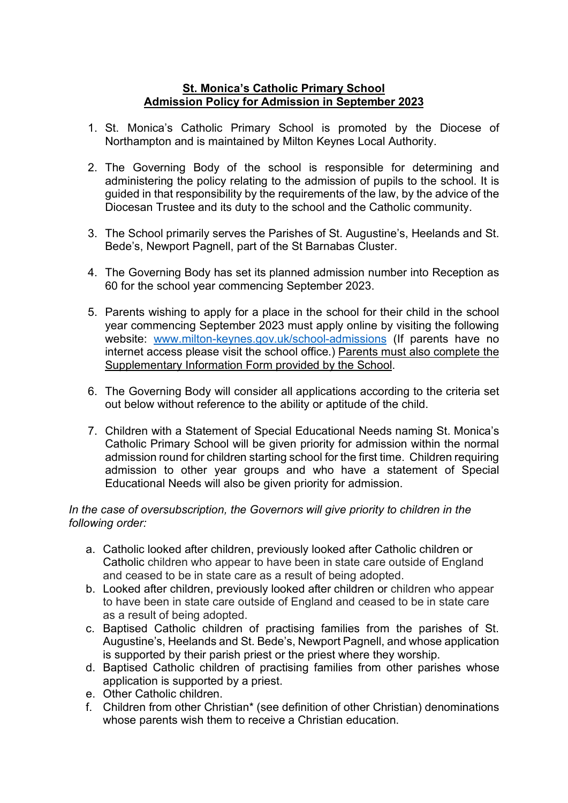## **St. Monica's Catholic Primary School Admission Policy for Admission in September 2023**

- 1. St. Monica's Catholic Primary School is promoted by the Diocese of Northampton and is maintained by Milton Keynes Local Authority.
- 2. The Governing Body of the school is responsible for determining and administering the policy relating to the admission of pupils to the school. It is guided in that responsibility by the requirements of the law, by the advice of the Diocesan Trustee and its duty to the school and the Catholic community.
- 3. The School primarily serves the Parishes of St. Augustine's, Heelands and St. Bede's, Newport Pagnell, part of the St Barnabas Cluster.
- 4. The Governing Body has set its planned admission number into Reception as 60 for the school year commencing September 2023.
- 5. Parents wishing to apply for a place in the school for their child in the school year commencing September 2023 must apply online by visiting the following website: [www.milton-keynes.gov.uk/school-admissions](http://www.milton-keynes.gov.uk/school-admissions) (If parents have no internet access please visit the school office.) Parents must also complete the Supplementary Information Form provided by the School.
- 6. The Governing Body will consider all applications according to the criteria set out below without reference to the ability or aptitude of the child.
- 7. Children with a Statement of Special Educational Needs naming St. Monica's Catholic Primary School will be given priority for admission within the normal admission round for children starting school for the first time. Children requiring admission to other year groups and who have a statement of Special Educational Needs will also be given priority for admission.

## *In the case of oversubscription, the Governors will give priority to children in the following order:*

- a. Catholic looked after children, previously looked after Catholic children or Catholic children who appear to have been in state care outside of England and ceased to be in state care as a result of being adopted.
- b. Looked after children, previously looked after children or children who appear to have been in state care outside of England and ceased to be in state care as a result of being adopted.
- c. Baptised Catholic children of practising families from the parishes of St. Augustine's, Heelands and St. Bede's, Newport Pagnell, and whose application is supported by their parish priest or the priest where they worship.
- d. Baptised Catholic children of practising families from other parishes whose application is supported by a priest.
- e. Other Catholic children.
- f. Children from other Christian\* (see definition of other Christian) denominations whose parents wish them to receive a Christian education.